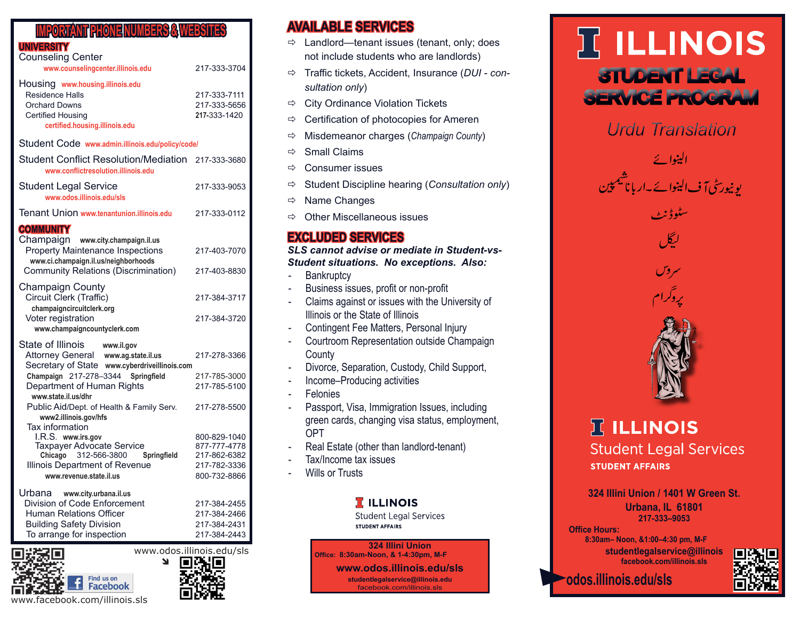### **IMPORTANT PHONE NUMBERS & WEBSITES**

### **UNIVERSITY**

| <b>Counseling Center</b><br>www.counselingcenter.illinois.edu                                                                                    | 217-333-3704                                 |
|--------------------------------------------------------------------------------------------------------------------------------------------------|----------------------------------------------|
| Housing www.housing.illinois.edu<br><b>Residence Halls</b><br><b>Orchard Downs</b><br><b>Certified Housing</b><br>certified.housing.illinois.edu | 217-333-7111<br>217-333-5656<br>217-333-1420 |
| Student Code www.admin.illinois.edu/policy/code/                                                                                                 |                                              |
| <b>Student Conflict Resolution/Mediation</b><br>www.conflictresolution.illinois.edu                                                              | 217-333-3680                                 |
| <b>Student Legal Service</b><br>www.odos.illinois.edu/sls                                                                                        | 217-333-9053                                 |
| Tenant Union www.tenantunion.illinois.edu                                                                                                        | 217-333-0112                                 |
| <b>COMMUNITY</b>                                                                                                                                 |                                              |
| Champaign<br>www.city.champaign.il.us<br><b>Property Maintenance Inspections</b><br>www.ci.champaign.il.us/neighborhoods                         | 217-403-7070                                 |
| <b>Community Relations (Discrimination)</b>                                                                                                      | 217-403-8830                                 |
| <b>Champaign County</b><br>Circuit Clerk (Traffic)<br>champaigncircuitclerk.org                                                                  | 217-384-3717                                 |
| Voter registration<br>www.champaigncountyclerk.com                                                                                               | 217-384-3720                                 |
| State of Illinois<br>www.il.gov                                                                                                                  |                                              |
| Attorney General www.ag.state.il.us<br>Secretary of State www.cyberdriveillinois.com                                                             | 217-278-3366                                 |
| Champaign 217-278-3344<br>Springfield                                                                                                            | 217-785-3000                                 |
| Department of Human Rights<br>www.state.il.us/dhr                                                                                                | 217-785-5100                                 |
| Public Aid/Dept. of Health & Family Serv.<br>www2.illinois.gov/hfs                                                                               | 217-278-5500                                 |
| <b>Tax information</b><br>I.R.S. www.irs.gov                                                                                                     | 800-829-1040                                 |
| <b>Taxpayer Advocate Service</b>                                                                                                                 | 877-777-4778                                 |
| Chicago 312-566-3800<br>Springfield                                                                                                              | 217-862-6382                                 |
| <b>Illinois Department of Revenue</b>                                                                                                            | 217-782-3336                                 |
| www.revenue.state.il.us                                                                                                                          | 800-732-8866                                 |
| Urbana www.city.urbana.il.us                                                                                                                     |                                              |
| Division of Code Enforcement                                                                                                                     | 217-384-2455                                 |
| <b>Human Relations Officer</b>                                                                                                                   | 217-384-2466                                 |
| <b>Building Safety Division</b><br>To arrange for inspection                                                                                     | 217-384-2431<br>217-384-2443                 |
|                                                                                                                                                  |                                              |





## **AVAILABLE SERVICES**

- $\Rightarrow$  Landlord—tenant issues (tenant, only; does not include students who are landlords)
- Traffic tickets, Accident, Insurance (*DUI consultation only*)
- $\Rightarrow$  City Ordinance Violation Tickets
- $\Rightarrow$  Certification of photocopies for Ameren
- Misdemeanor charges (*Champaign County*)
- $\Rightarrow$  Small Claims
- $\Rightarrow$  Consumer issues
- Student Discipline hearing (*Consultation only*)
- $\Rightarrow$  Name Changes
- $\Rightarrow$  Other Miscellaneous issues

## **EXCLUDED SERVICES**

#### *SLS cannot advise or mediate in Student-vs-Student situations. No exceptions. Also:*

- Bankruptcy
- Business issues, profit or non-profit
- Claims against or issues with the University of Illinois or the State of Illinois
- Contingent Fee Matters, Personal Injury
- Courtroom Representation outside Champaign **County**
- Divorce, Separation, Custody, Child Support,
- Income–Producing activities
- **Felonies**
- Passport, Visa, Immigration Issues, including green cards, changing visa status, employment, OPT
- Real Estate (other than landlord-tenant)
- Tax/Income tax issues
- **Wills or Trusts**

#### **T** ILLINOIS

**Student Legal Services STUDENT AFFAIRS** 

**324 Illini Union Office: 8:30am-Noon, & 1-4:30pm, M-F**

**www.odos.illinois.edu/sls** 

**studentlegalservice@illinois.edu** facebook.com/illinois.sls

# **IT ILLINOIS** STUDENT LEGAL SERVICE PROGRAM

*Urdu Translation* 

الينوائے یو نیورسٹی آ ف الینوائے ۔ار باناشیمپین يستجيرو

سٹوڈ نرم



## **IT ILLINOIS**

**Student Legal Services STUDENT AFFAIRS** 

**324 Illini Union / 1401 W Green St. Urbana, IL 61801 217-333–9053** 4:30 -- 1:00 - 12:00 -- 8:30

**Office Hours:** 

 **8:30am– Noon, &1:00–4:30 pm, M-F studentlegalservice@illinois facebook.com/illinois.sls**



**odos.illinois.edu/sls**